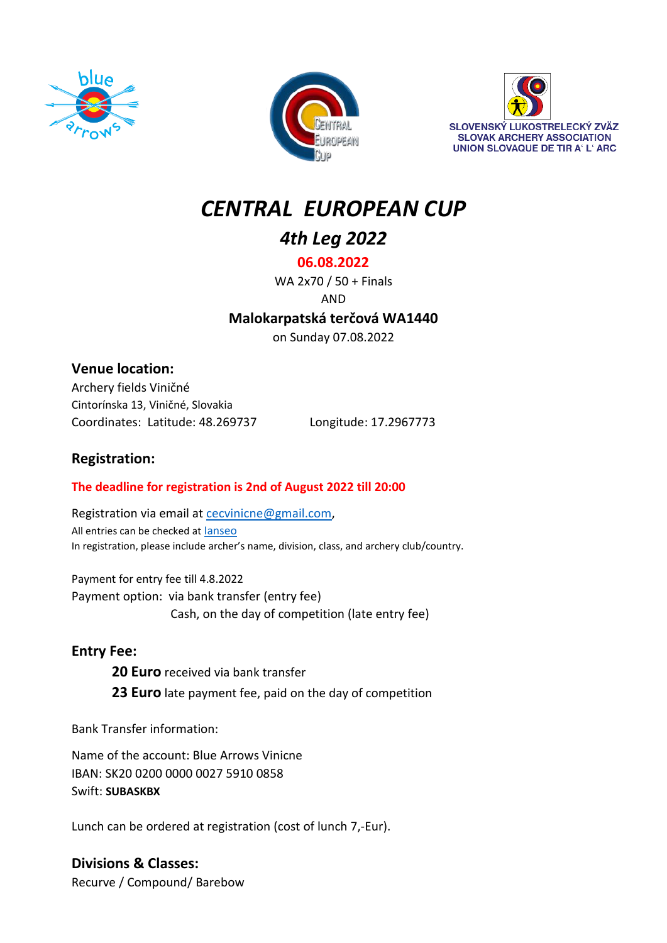





# *CENTRAL EUROPEAN CUP*

*4th Leg 2022*

**06.08.2022**

WA 2x70 / 50 + Finals AND

**Malokarpatská terčová WA1440**

on Sunday 07.08.2022

# **Venue location:**

Archery fields Viničné Cintorínska 13, Viničné, Slovakia Coordinates: Latitude: 48.269737 Longitude: 17.2967773

# **Registration:**

### **The deadline for registration is 2nd of August 2022 till 20:00**

Registration via email at [cecvinicne@gmail.com,](mailto:cecvinicne@gmail.com) All entries can be checked at [Ianseo](http://ianseo.net/TourList.php?Year=2022&countryid=SVK&comptime=&timeType=local) In registration, please include archer's name, division, class, and archery club/country.

Payment for entry fee till 4.8.2022 Payment option: via bank transfer (entry fee) Cash, on the day of competition (late entry fee)

# **Entry Fee:**

**20 Euro** received via bank transfer **23 Euro** late payment fee, paid on the day of competition

Bank Transfer information:

Name of the account: Blue Arrows Vinicne IBAN: SK20 0200 0000 0027 5910 0858 Swift: **SUBASKBX**

Lunch can be ordered at registration (cost of lunch 7,-Eur).

**Divisions & Classes:** Recurve / Compound/ Barebow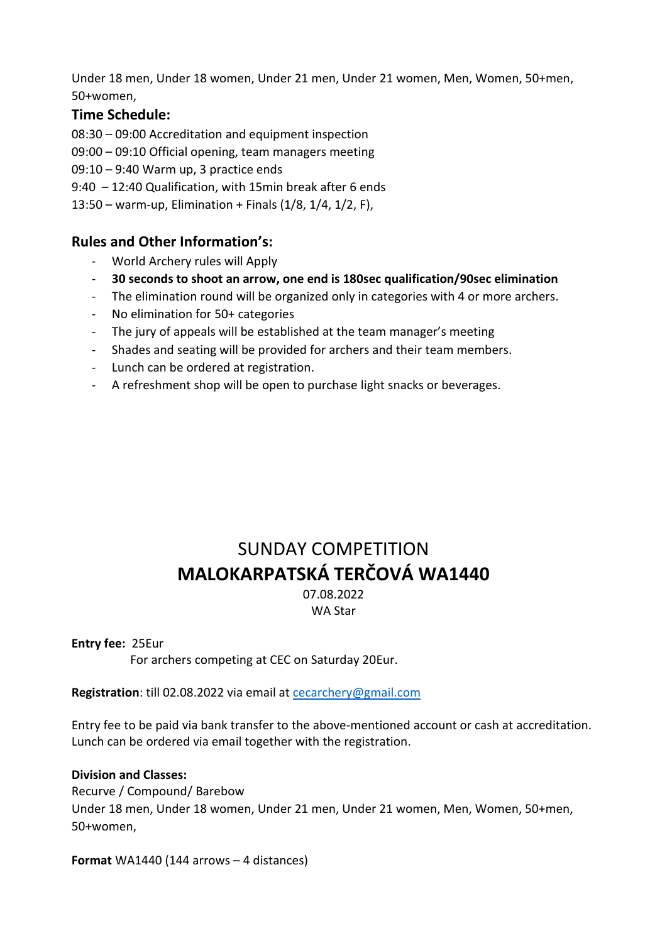Under 18 men, Under 18 women, Under 21 men, Under 21 women, Men, Women, 50+men, 50+women,

### **Time Schedule:**

08:30 – 09:00 Accreditation and equipment inspection

- 09:00 09:10 Official opening, team managers meeting
- 09:10 9:40 Warm up, 3 practice ends
- 9:40 12:40 Qualification, with 15min break after 6 ends
- 13:50 warm-up, Elimination + Finals (1/8, 1/4, 1/2, F),

# **Rules and Other Information's:**

- World Archery rules will Apply
- **30 seconds to shoot an arrow, one end is 180sec qualification/90sec elimination**
- The elimination round will be organized only in categories with 4 or more archers.
- No elimination for 50+ categories
- The jury of appeals will be established at the team manager's meeting
- Shades and seating will be provided for archers and their team members.
- Lunch can be ordered at registration.
- A refreshment shop will be open to purchase light snacks or beverages.

# SUNDAY COMPETITION **MALOKARPATSKÁ TERČOVÁ WA1440**

07.08.2022 WA Star

#### **Entry fee:** 25Eur

For archers competing at CEC on Saturday 20Eur.

### **Registration**: till 02.08.2022 via email at [cecarchery@gmail.com](mailto:cecarchery@gmail.com)

Entry fee to be paid via bank transfer to the above-mentioned account or cash at accreditation. Lunch can be ordered via email together with the registration.

### **Division and Classes:**

Recurve / Compound/ Barebow Under 18 men, Under 18 women, Under 21 men, Under 21 women, Men, Women, 50+men, 50+women,

**Format** WA1440 (144 arrows – 4 distances)